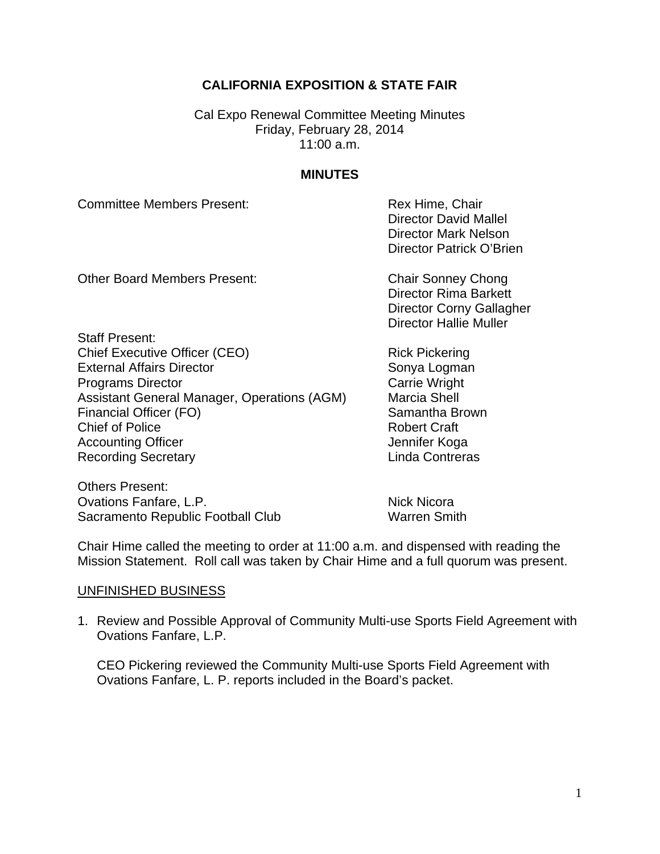# **CALIFORNIA EXPOSITION & STATE FAIR**

Cal Expo Renewal Committee Meeting Minutes Friday, February 28, 2014  $11:00$  a.m.

#### **MINUTES**

Committee Members Present: The Committee Members Present: Rex Hime, Chair

 Director David Mallel Director Mark Nelson Director Patrick O'Brien

Other Board Members Present: Chair Sonney Chong

Director Rima Barkett Director Corny Gallagher Director Hallie Muller

Staff Present: Chief Executive Officer (CEO) Rick Pickering External Affairs Director Sonya Logman **Programs Director** Carrie Wright Assistant General Manager, Operations (AGM) Marcia Shell Financial Officer (FO) Samantha Brown Chief of Police Robert Craft Accounting Officer **Accounting Officer** Accounting Officer **Jennifer Koga** Recording Secretary **Contrest Executes** Linda Contreras

Others Present: Ovations Fanfare, L.P. Nick Nicora Sacramento Republic Football Club Warren Smith

Chair Hime called the meeting to order at 11:00 a.m. and dispensed with reading the Mission Statement. Roll call was taken by Chair Hime and a full quorum was present.

#### UNFINISHED BUSINESS

1. Review and Possible Approval of Community Multi-use Sports Field Agreement with Ovations Fanfare, L.P.

CEO Pickering reviewed the Community Multi-use Sports Field Agreement with Ovations Fanfare, L. P. reports included in the Board's packet.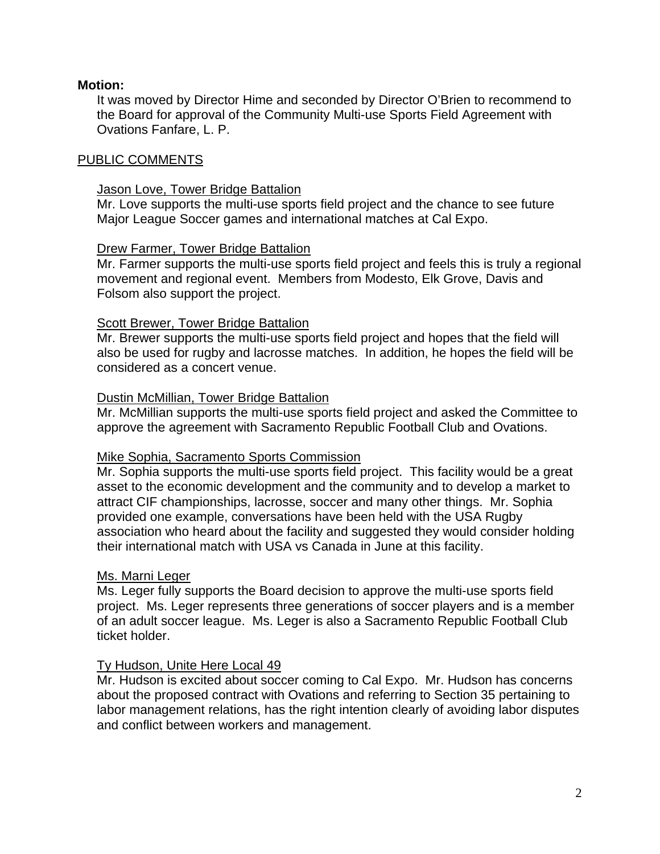### **Motion:**

It was moved by Director Hime and seconded by Director O'Brien to recommend to the Board for approval of the Community Multi-use Sports Field Agreement with Ovations Fanfare, L. P.

### PUBLIC COMMENTS

#### Jason Love, Tower Bridge Battalion

Mr. Love supports the multi-use sports field project and the chance to see future Major League Soccer games and international matches at Cal Expo.

#### Drew Farmer, Tower Bridge Battalion

Mr. Farmer supports the multi-use sports field project and feels this is truly a regional movement and regional event. Members from Modesto, Elk Grove, Davis and Folsom also support the project.

### Scott Brewer, Tower Bridge Battalion

Mr. Brewer supports the multi-use sports field project and hopes that the field will also be used for rugby and lacrosse matches. In addition, he hopes the field will be considered as a concert venue.

### Dustin McMillian, Tower Bridge Battalion

Mr. McMillian supports the multi-use sports field project and asked the Committee to approve the agreement with Sacramento Republic Football Club and Ovations.

## Mike Sophia, Sacramento Sports Commission

Mr. Sophia supports the multi-use sports field project. This facility would be a great asset to the economic development and the community and to develop a market to attract CIF championships, lacrosse, soccer and many other things. Mr. Sophia provided one example, conversations have been held with the USA Rugby association who heard about the facility and suggested they would consider holding their international match with USA vs Canada in June at this facility.

#### Ms. Marni Leger

Ms. Leger fully supports the Board decision to approve the multi-use sports field project. Ms. Leger represents three generations of soccer players and is a member of an adult soccer league. Ms. Leger is also a Sacramento Republic Football Club ticket holder.

## Ty Hudson, Unite Here Local 49

Mr. Hudson is excited about soccer coming to Cal Expo. Mr. Hudson has concerns about the proposed contract with Ovations and referring to Section 35 pertaining to labor management relations, has the right intention clearly of avoiding labor disputes and conflict between workers and management.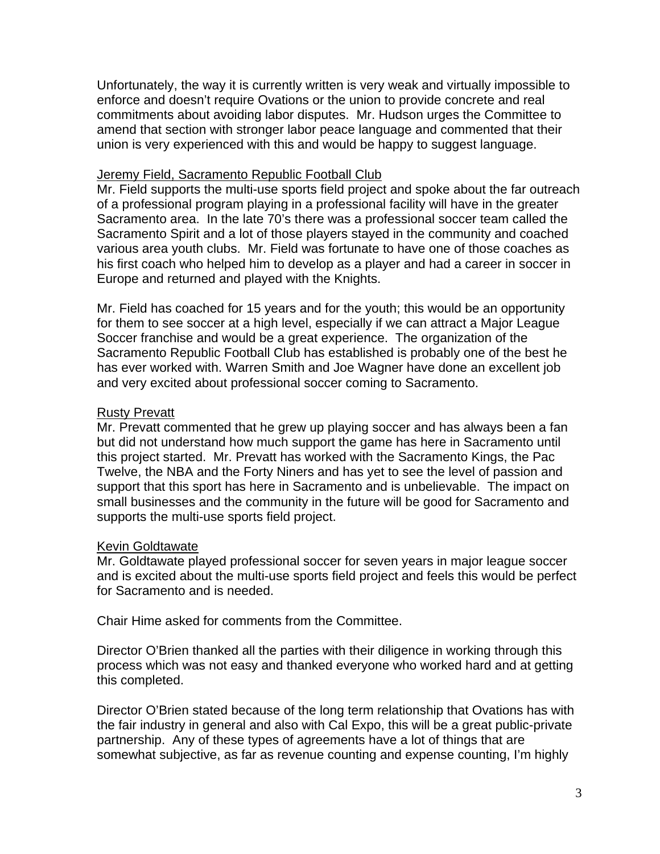Unfortunately, the way it is currently written is very weak and virtually impossible to enforce and doesn't require Ovations or the union to provide concrete and real commitments about avoiding labor disputes. Mr. Hudson urges the Committee to amend that section with stronger labor peace language and commented that their union is very experienced with this and would be happy to suggest language.

# Jeremy Field, Sacramento Republic Football Club

Mr. Field supports the multi-use sports field project and spoke about the far outreach of a professional program playing in a professional facility will have in the greater Sacramento area. In the late 70's there was a professional soccer team called the Sacramento Spirit and a lot of those players stayed in the community and coached various area youth clubs. Mr. Field was fortunate to have one of those coaches as his first coach who helped him to develop as a player and had a career in soccer in Europe and returned and played with the Knights.

Mr. Field has coached for 15 years and for the youth; this would be an opportunity for them to see soccer at a high level, especially if we can attract a Major League Soccer franchise and would be a great experience. The organization of the Sacramento Republic Football Club has established is probably one of the best he has ever worked with. Warren Smith and Joe Wagner have done an excellent job and very excited about professional soccer coming to Sacramento.

# Rusty Prevatt

Mr. Prevatt commented that he grew up playing soccer and has always been a fan but did not understand how much support the game has here in Sacramento until this project started. Mr. Prevatt has worked with the Sacramento Kings, the Pac Twelve, the NBA and the Forty Niners and has yet to see the level of passion and support that this sport has here in Sacramento and is unbelievable. The impact on small businesses and the community in the future will be good for Sacramento and supports the multi-use sports field project.

## Kevin Goldtawate

Mr. Goldtawate played professional soccer for seven years in major league soccer and is excited about the multi-use sports field project and feels this would be perfect for Sacramento and is needed.

Chair Hime asked for comments from the Committee.

Director O'Brien thanked all the parties with their diligence in working through this process which was not easy and thanked everyone who worked hard and at getting this completed.

Director O'Brien stated because of the long term relationship that Ovations has with the fair industry in general and also with Cal Expo, this will be a great public-private partnership. Any of these types of agreements have a lot of things that are somewhat subjective, as far as revenue counting and expense counting, I'm highly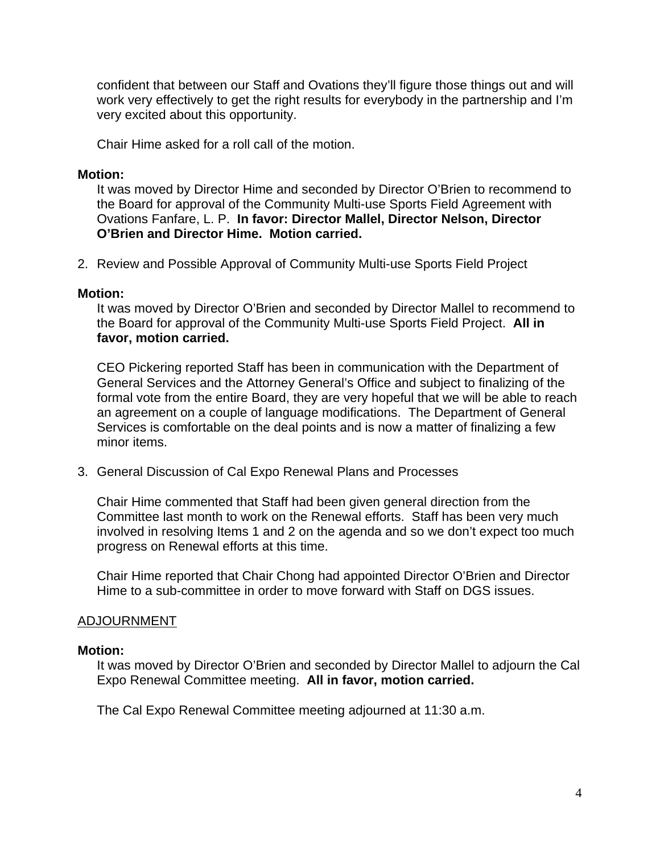confident that between our Staff and Ovations they'll figure those things out and will work very effectively to get the right results for everybody in the partnership and I'm very excited about this opportunity.

Chair Hime asked for a roll call of the motion.

### **Motion:**

It was moved by Director Hime and seconded by Director O'Brien to recommend to the Board for approval of the Community Multi-use Sports Field Agreement with Ovations Fanfare, L. P. **In favor: Director Mallel, Director Nelson, Director O'Brien and Director Hime. Motion carried.**

2. Review and Possible Approval of Community Multi-use Sports Field Project

#### **Motion:**

It was moved by Director O'Brien and seconded by Director Mallel to recommend to the Board for approval of the Community Multi-use Sports Field Project. **All in favor, motion carried.** 

CEO Pickering reported Staff has been in communication with the Department of General Services and the Attorney General's Office and subject to finalizing of the formal vote from the entire Board, they are very hopeful that we will be able to reach an agreement on a couple of language modifications. The Department of General Services is comfortable on the deal points and is now a matter of finalizing a few minor items.

3. General Discussion of Cal Expo Renewal Plans and Processes

Chair Hime commented that Staff had been given general direction from the Committee last month to work on the Renewal efforts. Staff has been very much involved in resolving Items 1 and 2 on the agenda and so we don't expect too much progress on Renewal efforts at this time.

Chair Hime reported that Chair Chong had appointed Director O'Brien and Director Hime to a sub-committee in order to move forward with Staff on DGS issues.

#### ADJOURNMENT

#### **Motion:**

It was moved by Director O'Brien and seconded by Director Mallel to adjourn the Cal Expo Renewal Committee meeting. **All in favor, motion carried.** 

The Cal Expo Renewal Committee meeting adjourned at 11:30 a.m.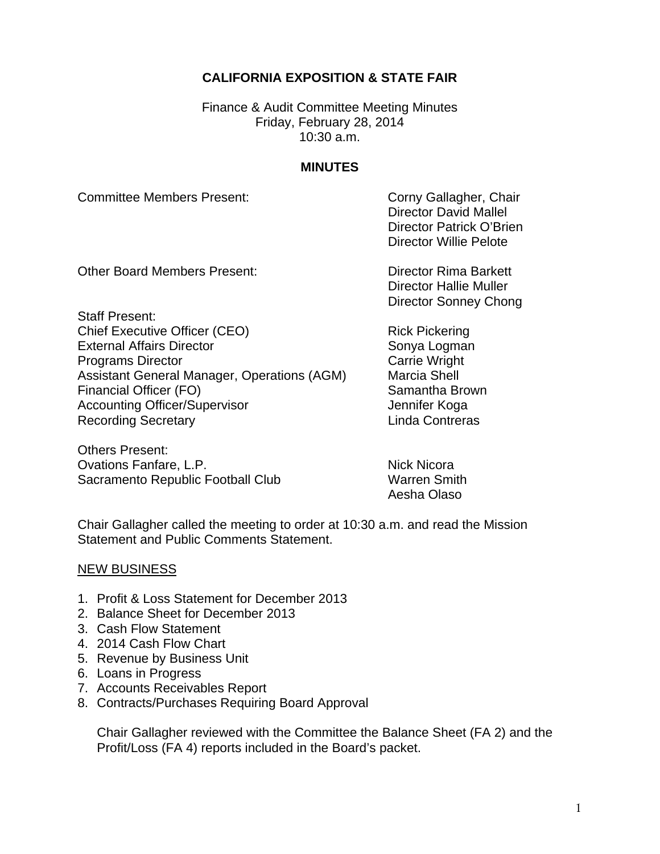# **CALIFORNIA EXPOSITION & STATE FAIR**

Finance & Audit Committee Meeting Minutes Friday, February 28, 2014 10:30 a.m.

#### **MINUTES**

Committee Members Present: Committee Members Present:

 Director David Mallel Director Patrick O'Brien Director Willie Pelote

Other Board Members Present: Director Rima Barkett

 Director Hallie Muller Director Sonney Chong

Staff Present: Chief Executive Officer (CEO) Rick Pickering External Affairs Director Sonya Logman **Programs Director** Carrie Wright Assistant General Manager, Operations (AGM) Marcia Shell Financial Officer (FO) Samantha Brown Accounting Officer/Supervisor **Accounting Officer/Supervisor** Jennifer Koga Recording Secretary **Linda Contreras** 

Others Present: Ovations Fanfare, L.P. Nick Nicora Sacramento Republic Football Club Warren Smith

Aesha Olaso

Chair Gallagher called the meeting to order at 10:30 a.m. and read the Mission Statement and Public Comments Statement.

#### NEW BUSINESS

- 1. Profit & Loss Statement for December 2013
- 2. Balance Sheet for December 2013
- 3. Cash Flow Statement
- 4. 2014 Cash Flow Chart
- 5. Revenue by Business Unit
- 6. Loans in Progress
- 7. Accounts Receivables Report
- 8. Contracts/Purchases Requiring Board Approval

Chair Gallagher reviewed with the Committee the Balance Sheet (FA 2) and the Profit/Loss (FA 4) reports included in the Board's packet.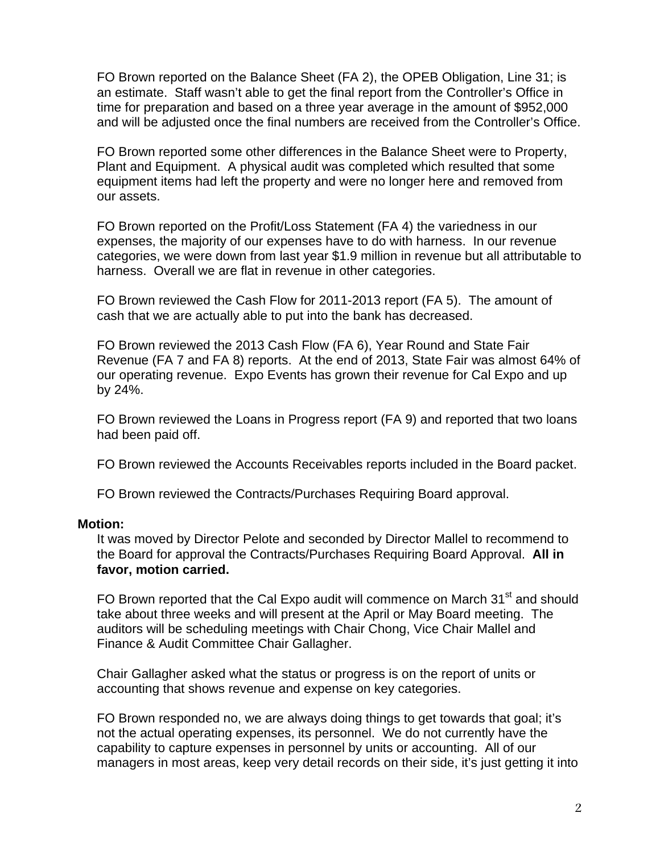FO Brown reported on the Balance Sheet (FA 2), the OPEB Obligation, Line 31; is an estimate. Staff wasn't able to get the final report from the Controller's Office in time for preparation and based on a three year average in the amount of \$952,000 and will be adjusted once the final numbers are received from the Controller's Office.

FO Brown reported some other differences in the Balance Sheet were to Property, Plant and Equipment. A physical audit was completed which resulted that some equipment items had left the property and were no longer here and removed from our assets.

FO Brown reported on the Profit/Loss Statement (FA 4) the variedness in our expenses, the majority of our expenses have to do with harness. In our revenue categories, we were down from last year \$1.9 million in revenue but all attributable to harness. Overall we are flat in revenue in other categories.

FO Brown reviewed the Cash Flow for 2011-2013 report (FA 5). The amount of cash that we are actually able to put into the bank has decreased.

FO Brown reviewed the 2013 Cash Flow (FA 6), Year Round and State Fair Revenue (FA 7 and FA 8) reports. At the end of 2013, State Fair was almost 64% of our operating revenue. Expo Events has grown their revenue for Cal Expo and up by 24%.

FO Brown reviewed the Loans in Progress report (FA 9) and reported that two loans had been paid off.

FO Brown reviewed the Accounts Receivables reports included in the Board packet.

FO Brown reviewed the Contracts/Purchases Requiring Board approval.

#### **Motion:**

It was moved by Director Pelote and seconded by Director Mallel to recommend to the Board for approval the Contracts/Purchases Requiring Board Approval. **All in favor, motion carried.** 

FO Brown reported that the Cal Expo audit will commence on March 31<sup>st</sup> and should take about three weeks and will present at the April or May Board meeting. The auditors will be scheduling meetings with Chair Chong, Vice Chair Mallel and Finance & Audit Committee Chair Gallagher.

Chair Gallagher asked what the status or progress is on the report of units or accounting that shows revenue and expense on key categories.

FO Brown responded no, we are always doing things to get towards that goal; it's not the actual operating expenses, its personnel. We do not currently have the capability to capture expenses in personnel by units or accounting. All of our managers in most areas, keep very detail records on their side, it's just getting it into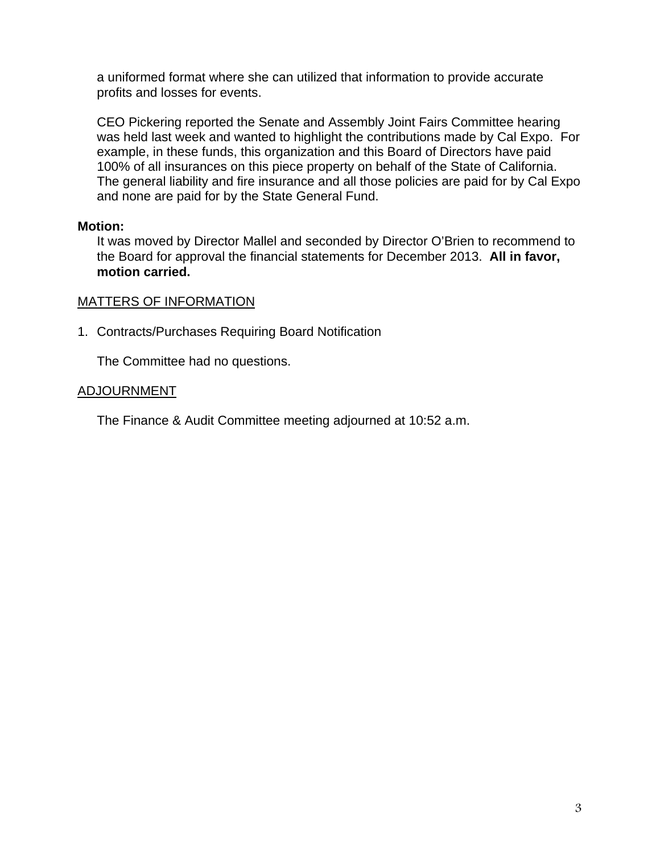a uniformed format where she can utilized that information to provide accurate profits and losses for events.

CEO Pickering reported the Senate and Assembly Joint Fairs Committee hearing was held last week and wanted to highlight the contributions made by Cal Expo. For example, in these funds, this organization and this Board of Directors have paid 100% of all insurances on this piece property on behalf of the State of California. The general liability and fire insurance and all those policies are paid for by Cal Expo and none are paid for by the State General Fund.

# **Motion:**

It was moved by Director Mallel and seconded by Director O'Brien to recommend to the Board for approval the financial statements for December 2013. **All in favor, motion carried.** 

# MATTERS OF INFORMATION

1. Contracts/Purchases Requiring Board Notification

The Committee had no questions.

# ADJOURNMENT

The Finance & Audit Committee meeting adjourned at 10:52 a.m.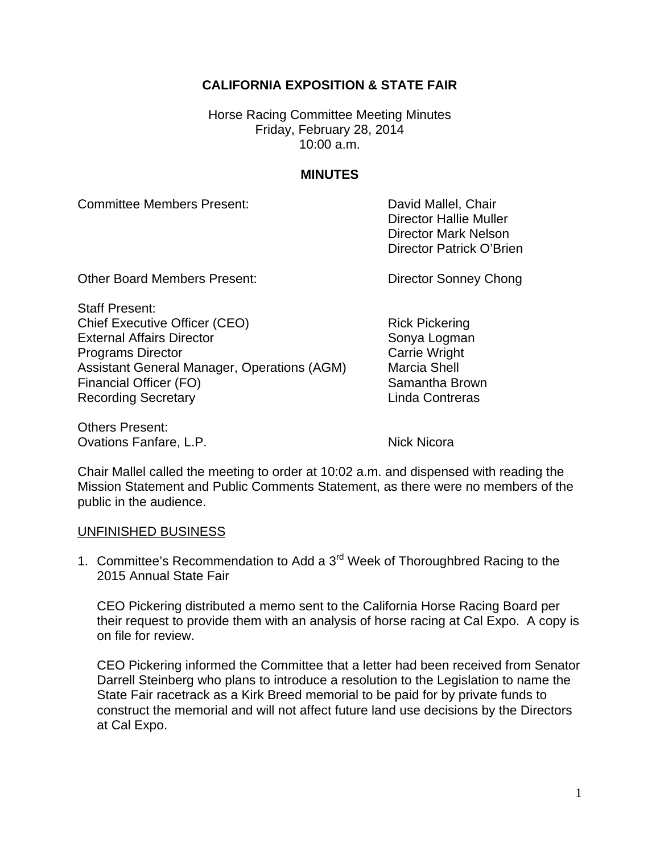# **CALIFORNIA EXPOSITION & STATE FAIR**

Horse Racing Committee Meeting Minutes Friday, February 28, 2014 10:00 a.m.

### **MINUTES**

Committee Members Present: Committee Members Present:

 Director Hallie Muller Director Mark Nelson Director Patrick O'Brien

Other Board Members Present: Director Sonney Chong

Staff Present: Chief Executive Officer (CEO) Rick Pickering External Affairs Director Sonya Logman **Programs Director** Carrie Wright Assistant General Manager, Operations (AGM) Marcia Shell Financial Officer (FO) Samantha Brown Recording Secretary **Linda Contreras** 

Others Present: Ovations Fanfare, L.P. Nick Nicora

Chair Mallel called the meeting to order at 10:02 a.m. and dispensed with reading the Mission Statement and Public Comments Statement, as there were no members of the public in the audience.

#### UNFINISHED BUSINESS

1. Committee's Recommendation to Add a 3<sup>rd</sup> Week of Thoroughbred Racing to the 2015 Annual State Fair

CEO Pickering distributed a memo sent to the California Horse Racing Board per their request to provide them with an analysis of horse racing at Cal Expo. A copy is on file for review.

CEO Pickering informed the Committee that a letter had been received from Senator Darrell Steinberg who plans to introduce a resolution to the Legislation to name the State Fair racetrack as a Kirk Breed memorial to be paid for by private funds to construct the memorial and will not affect future land use decisions by the Directors at Cal Expo.